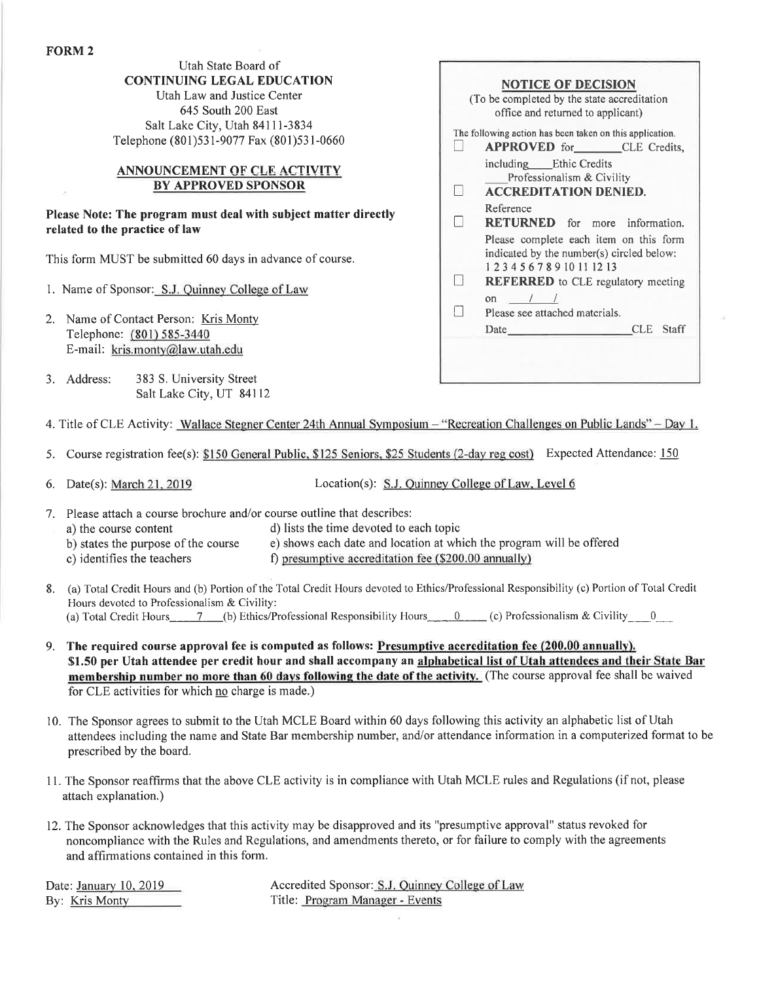Utah State Board of CONTINUING LEGAL EDUCATION Utah Law and Justice Center

645 South 200 East Salt Lake City, Utah 84111-3834 Telephone (801)53 1-9077 Fax (801)53 l-0660

# BY APPROVED SPONSOR ANNOUNCEMENT OF CLE ACTIVITY

Please Note: The program must deal with subject matter directly related to the practice of law

This form MUST be submitted 60 days in advance of course.

- 1. Name of Sponsor: S.J. Quinney College of Law
- 2. Name of Contact Person: Kris Monty Telephone: (801) 585-3440 E-mail: kris.monty@law.utah.edu
- 3. Address: <sup>383</sup>S. University Street Salt Lake City, UT 84112

| <b>NOTICE OF DECISION</b><br>(To be completed by the state accreditation)<br>office and returned to applicant)                                                                                                                                                                                                      |
|---------------------------------------------------------------------------------------------------------------------------------------------------------------------------------------------------------------------------------------------------------------------------------------------------------------------|
| The following action has been taken on this application.<br><b>APPROVED</b> for CLE Credits,                                                                                                                                                                                                                        |
| including Ethic Credits<br>Professionalism & Civility<br><b>ACCREDITATION DENIED.</b>                                                                                                                                                                                                                               |
| Reference<br><b>RETURNED</b> for more information.                                                                                                                                                                                                                                                                  |
| Please complete each item on this form<br>indicated by the number(s) circled below:<br>1 2 3 4 5 6 7 8 9 10 11 12 13<br><b>REFERRED</b> to CLE regulatory meeting                                                                                                                                                   |
| on $\frac{1}{\sqrt{1-\frac{1}{2}}}$<br>Please see attached materials.<br>CLE Staff<br>Date and the same state of the state of the state of the state of the state of the state of the state of the state of the state of the state of the state of the state of the state of the state of the state of the state of |
|                                                                                                                                                                                                                                                                                                                     |
|                                                                                                                                                                                                                                                                                                                     |

4. Title of CLE Activity: Wallace Stegner Center 24th Annual Symposium - "Recreation Challenges on Public Lands" - Day 1.

5. Course registration fee(s): \$150 General Public. \$125 Seniors. \$25 Students (2-day reg cost) Expected Attendance: <sup>150</sup>

6. Date(s): March 21, 2019 Location(s): S.J. Quinney College of Law, Level 6

- 7. Please attach a course brochure and/or course outline that describes:
- a) the course content d) lists the time devoted to each topic
	-
	- b) states the purpose of the course e) shows each date and location at which the program will be offered
	- c) identifies the teachers f) presumptive accreditation fee  $(\$200.00$  annually)
- 8. (a) Total Credit Hours and (b) Portion of the Total Credit Hours devoted to Ethics/Professional Responsibility (c) Portion of Total Credit Hours devoted to Professionalism & Civility: (a) Total Credit Hours\_\_\_\_\_7\_\_(b) Ethics/Professional Responsibility Hours  $0$  (c) Professionalism & Civility  $0$

- 9. The required course approval fee is computed as follows: Presumptive accreditation fee (200.00 annually). \$1.50 per Utah attendee per credit hour and shall accompany an alphabetical list of Utah attendees and their State Bar membership number no more than 60 days following the date of the activity. (The course approval fee shall be waived for CLE activities for which no charge is made.)
- 10. The Sponsor agrees to submit to the Utah MCLE Board within 60 days following this activity an alphabetic list of Utah attendees including the name and State Bar membership number, and/or attendance information in a computerized format to be prescribed by the board.
- I l. The Sponsor reaffirms that the above CLE activity is in compliance with Utah MCLE rules and Regulations (if not, please attach explanation.)
- 12. The Sponsor acknowledges that this activity may be disapproved and its "presumptive approval" status revoked for noncompliance with the Rules and Regulations, and amendments thereto, or for failure to comply with the agreements and affirmations contained in this form.

Date: January 10, 2019 <br>
Accredited Sponsor: S.J. Quinney College of Law By: Kris Monty Title: Program Manager - Events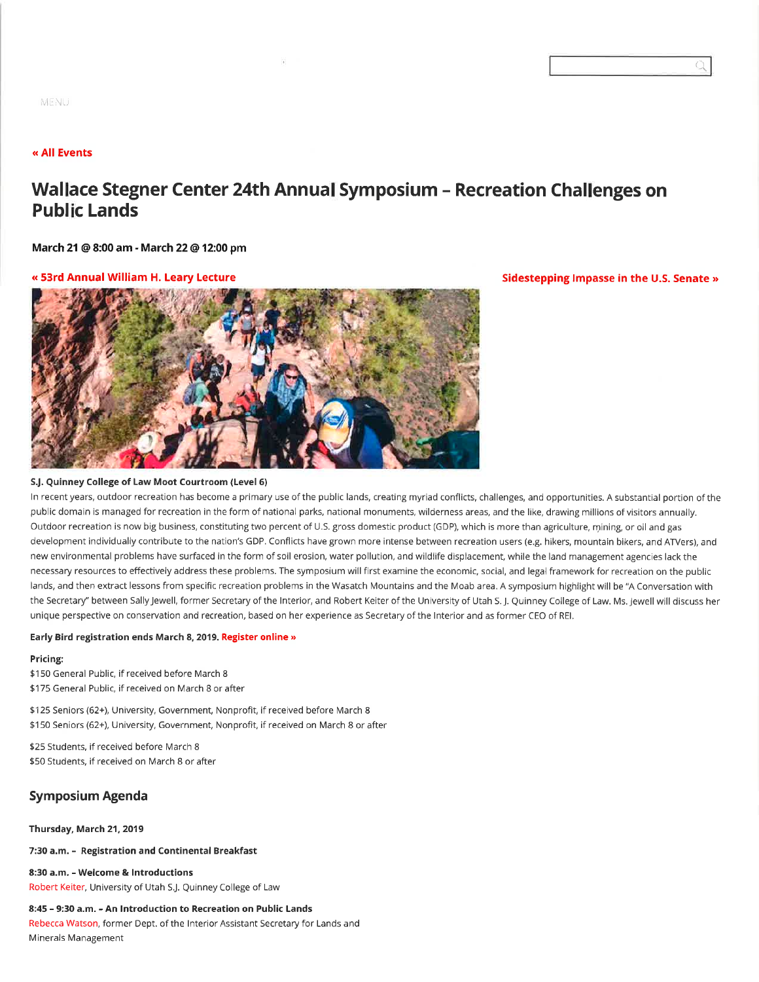## (< All Events

# Wallace Stegner Center 24th Annual Symposium - Recreation Challenges on Public Lands

March 21 @ 8:00 am - March 22 @ 12:00 pm

#### « 53rd Annual William H. Leary Lecture The Sidestepping lmpasse in the U.S. Senate »



#### SJ. Quinney College of Law Moot Courtroom (Level 6)

ln recentyears, outdoor recreation has become a primary use ofthe public lands, creating myriad conflicts, challenges, and opportunities. A substantial portion ofthe public domain is managed for recreation in the form of national parks, national monuments, wilderness areas, and the like, drawing millions of visitors annually. Outdoor recreation is now big business, constituting two percent of U.S. gross domestic product (GDP), which is more than agriculture, mining, or oil and gas development individually contribute to the nation's GDP. Conflicts have grown more intense between recreation users (e.g. hikers, mountain bikers, and ATVers), and new environmental problems have surfaced in the form of soil erosion, water pollution, and wildlife displacement, while the land management agencies lack the necessary resources to effectively address these problems. The symposium will first examine the economic, social, and legal framework for recreation on the public lands, and then extract lessons from specific recreation problems in the Wasatch Mountains and the Moab area. A symposium highlight will be "A Conversation with the Secretary" between Sally Jewell, former Secretary of the Interior, and Robert Keiter of the University of Utah S. J. Quinney College of Law. Ms. Jewell will discuss her unique perspective on conservation and recreation, based on her experience as Secretary ofthe lnterior and as former CEO of REl.

#### Early Bird registration ends March 8, 2019. Register online »

#### Pricing:

\$150 General Public, if received before March 8 \$175 General Public, if received on March 8 or after

\$125 Seniors (62+), University, Government, Nonprofit, if received before March 8 \$150 Seniors (62+), University, Government, Nonprofit, if received on March 8 or âfter

\$25 Students, if received before March 8 \$50 Students, if received on March 8 or after

# Symposium Agenda

#### Thursday, March 21, 2019

#### 7:30 a.m. - Registration and Continental Breakfast

8:30 a.m. - Welcome & Introductions Robert Keiter, University of Utah SJ. Quinney College of Law

#### 8:45 - 9:30 a.m. - An Introduction to Recreation on Public Lands

Rebecca Watson, former Dept. of the Interior Assistant Secretary for Lands and Minerals Management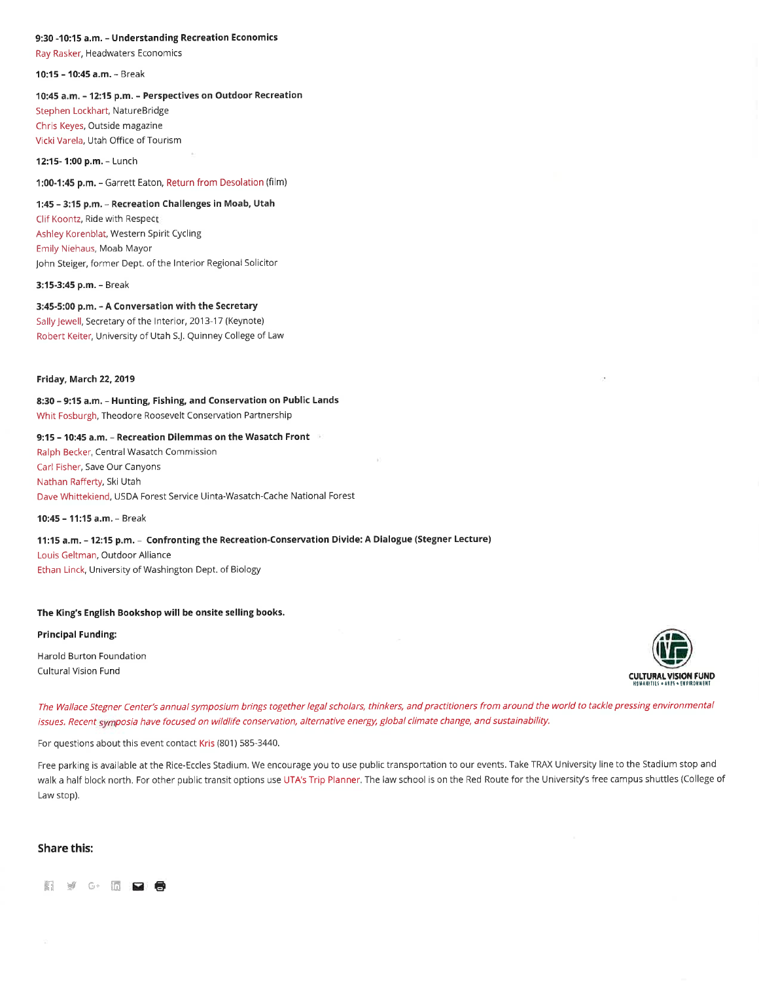#### 9:30 -10:15 a.m. - Understanding Recreation Economics

Ray Rasker, Headwaters Economics

10:15 - 10:45 a.m. - Break

#### 'lO:45 a.m. - 12:15 p.m. - Perspectives on Outdoor Recreation

Stephen Lockhart, NatureBridge Chris Keyes, Outside magazine Vicki Varela, Utah Office of Tourism

12:15- 1:O0 p.m. - Lunch

1:00-1:45 p.m. - Garrett Eaton, Return from Desolation (film)

#### 1:45 - 3:15 p.m. - Recreation Challenges in Moab, Utah

Clif Koontz, Ride with Respect Ashley Korenblat, Western Spirit Cycling Emily Niehaus, Moab Mayor John Steiger, former Dept. of the lnterior Regional Solicitor

3:15-3:45 p,m. - Break

3:45-5:00 p.m. - A Conversation with the Secretary Sally Jewell, Secretary of the Interior, 2013-17 (Keynote) Robert Keiter, University of Utah SJ. Quinney College of Law

#### Friday, March 22,2019

8:30 - 9:15 a.m. - Hunting, Fishing, and conservation on Public Lands Whit Fosburgh, Theodore Roosevelt Conservation Partnership

# 9:15 - 10:45 a.m. - Recreation Dilemmas on the Wasatch Front

Ralph Becker, Central Wasatch Commission Carl Fisher, Save our Canyons Nathan Rafferty, Ski Utah Dave Whittekiend, USDA Forest Service Uinta-Wasatch-Cache Nâtional Forest

1o:45 - 1l:15 a.m. - Break

### 11:15 a.m. - 12:15 p.m. - Confronting the Recreation-Conservation Divide: A Dialogue (Stegner Lecture)

Louis Geltman, outdoor Alliance Ethan Linck, University of Washington Dept. of Biology

#### The King's English Bookshop will be onsite selling books.

#### Principal Funding:

Harold Burton Foundation



The Wallace Stegner Center's annual symposium brings together legal scholars, thinkers, and practitioners from around the world to tackle pressing environmental issues. Recent symposia have focused on wildlife conservation, alternative energy, global climate change, and sustainability.

For questions about this event contact Kris (801) 585-3440.

Free parking is available at the Rice-Eccles Stadium, We encourage you to use public transportation to our events. Take TRAX University line to the Stadium stop and walk a half block north. For other public transit options use UTA's Trip Planner. The law school is on the Red Route for the University's free campus shuttles (College of Law stop).

#### Share this:

ffirwG.ffi Ë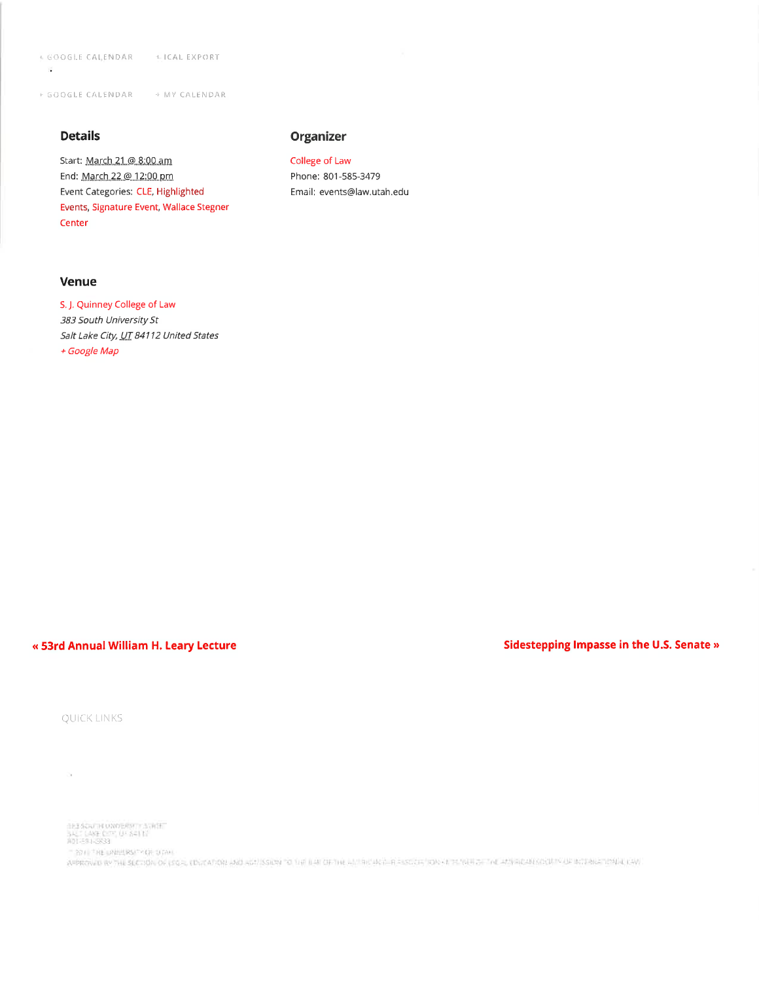+ GOOGLE CALENDAR + ICAL EXPORT

+ GOOGLE CALENDAR + MY CALENDAR

# **Details**

 $\widetilde{\mathbf{a}}$ 

Start: March 21.@ 8:00 am End: March 22 @ 12:00 pm Event Categories: CLE, Highlighted Events, Signature Event, Wallace Stegner Center

# **Venue**

S. J. Quinney College of Law 383 South University St Salt Lake City, UT 84112 United States + Google Map

# « 53rd Annual William H. Leary Lecture

# Sidestepping Impasse in the U.S. Senate »

QUICK LINKS

 $\sim$ 

183 SOUTH UNDERWIT STREET<br>SALT LANE CONT UP SOLET<br>ADI-591-5833

"30 / THE UNITERS " CR. DOM:

APPROVED BY THE SECTION OF LSQ P, EDUCATION AND ADDISSION TO THE BAL OF THE HISTORY FOR A SECOND TON SETTINGER THE ADDRESS SOUTH APPROXIMATION ALSO

**Organizer** 

College of Law Phone: 801-585-3479

Email: events@law.utah.edu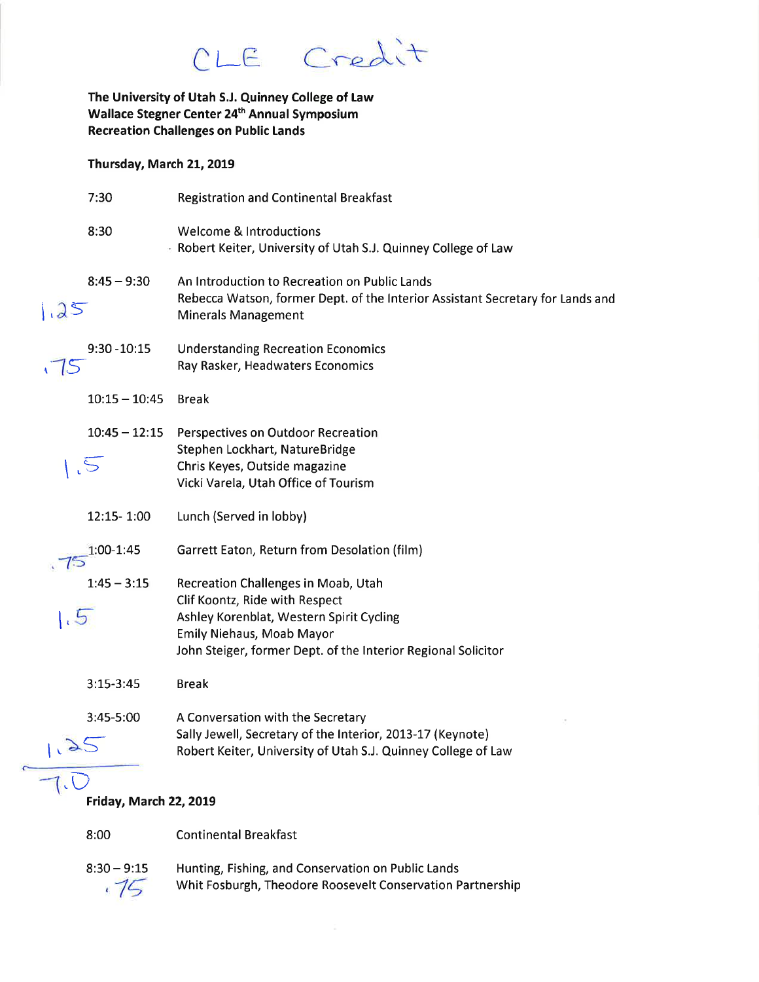CLE Credit

The University of Utah S.J. Quinney College of Law Wallace Stegner Center 24<sup>th</sup> Annual Symposium **Recreation Challenges on Public Lands** 

Thursday, March 21, 2019

|      | 7:30                          | <b>Registration and Continental Breakfast</b>                                                                                                                                                                          |
|------|-------------------------------|------------------------------------------------------------------------------------------------------------------------------------------------------------------------------------------------------------------------|
|      | 8:30                          | <b>Welcome &amp; Introductions</b><br><b>Robert Keiter, University of Utah S.J. Quinney College of Law</b>                                                                                                             |
| 1.25 | $8:45 - 9:30$                 | An Introduction to Recreation on Public Lands<br>Rebecca Watson, former Dept. of the Interior Assistant Secretary for Lands and<br><b>Minerals Management</b>                                                          |
|      | $9:30 - 10:15$                | <b>Understanding Recreation Economics</b><br>Ray Rasker, Headwaters Economics                                                                                                                                          |
|      | $10:15 - 10:45$               | <b>Break</b>                                                                                                                                                                                                           |
|      | $10:45 - 12:15$<br>$\sqrt{5}$ | <b>Perspectives on Outdoor Recreation</b><br>Stephen Lockhart, NatureBridge<br>Chris Keyes, Outside magazine<br>Vicki Varela, Utah Office of Tourism                                                                   |
|      | 12:15-1:00                    | Lunch (Served in lobby)                                                                                                                                                                                                |
|      | 1:00-1:45                     | Garrett Eaton, Return from Desolation (film)                                                                                                                                                                           |
| 1.5  | $1:45 - 3:15$                 | Recreation Challenges in Moab, Utah<br>Clif Koontz, Ride with Respect<br>Ashley Korenblat, Western Spirit Cycling<br><b>Emily Niehaus, Moab Mayor</b><br>John Steiger, former Dept. of the Interior Regional Solicitor |
|      | $3:15-3:45$                   | <b>Break</b>                                                                                                                                                                                                           |
|      | 3:45-5:00                     | A Conversation with the Secretary<br>Sally Jewell, Secretary of the Interior, 2013-17 (Keynote)<br>Robert Keiter, University of Utah S.J. Quinney College of Law                                                       |

# Friday, March 22, 2019

**Continental Breakfast** 8:00

 $8:30 - 9:15$ Hunting, Fishing, and Conservation on Public Lands  $.75$ Whit Fosburgh, Theodore Roosevelt Conservation Partnership